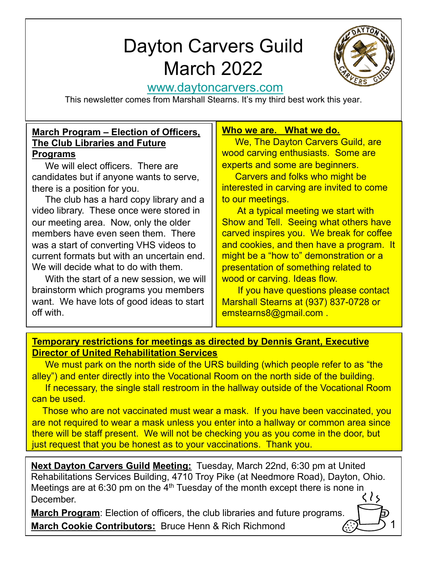# D[ayton Carvers Gu](http://www.daytoncarvers.com/)ild March 2022



1

# www.daytoncarvers.com

This newsletter comes from Marshall Stearns. It's my third best work this year.

#### **March Program – Election of Officers, The Club Libraries and Future Programs**

We will elect officers. There are candidates but if anyone wants to serve, there is a position for you.

The club has a hard copy library and a video library. These once were stored in our meeting area. Now, only the older members have even seen them. There was a start of converting VHS videos to current formats but with an uncertain end. We will decide what to do with them.

With the start of a new session, we will brainstorm which programs you members want. We have lots of good ideas to start off with.

## **Who we are. What we do.**

We, The Dayton Carvers Guild, are wood carving enthusiasts. Some are experts and some are beginners.

Carvers and folks who might be interested in carving are invited to come to our meetings.

At a typical meeting we start with Show and Tell. Seeing what others have carved inspires you. We break for coffee and cookies, and then have a program. It might be a "how to" demonstration or a presentation of something related to wood or carving. Ideas flow.

If you have questions please contact Marshall Stearns at (937) 837-0728 or emstearns8@gmail.com .

#### **Temporary restrictions for meetings as directed by Dennis Grant, Executive Director of United Rehabilitation Services**

We must park on the north side of the URS building (which people refer to as "the alley") and enter directly into the Vocational Room on the north side of the building.

If necessary, the single stall restroom in the hallway outside of the Vocational Room can be used.

Those who are not vaccinated must wear a mask. If you have been vaccinated, you are not required to wear a mask unless you enter into a hallway or common area since there will be staff present. We will not be checking you as you come in the door, but just request that you be honest as to your vaccinations. Thank you.

**Next Dayton Carvers Guild Meeting:** Tuesday, March 22nd, 6:30 pm at United Rehabilitations Services Building, 4710 Troy Pike (at Needmore Road), Dayton, Ohio. Meetings are at 6:30 pm on the  $4<sup>th</sup>$  Tuesday of the month except there is none in December.

**March Program**: Election of officers, the club libraries and future programs. **March Cookie Contributors:** Bruce Henn & Rich Richmond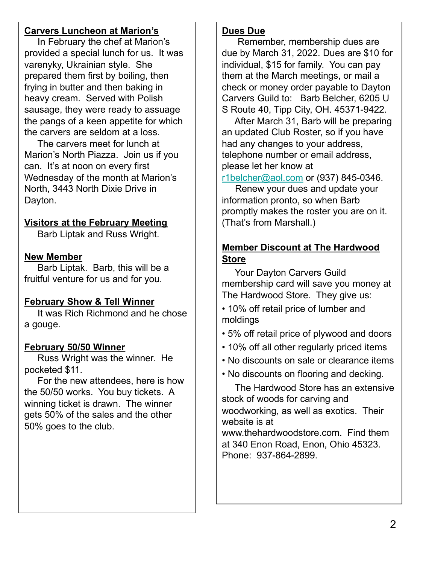#### **Carvers Luncheon at Marion's**

In February the chef at Marion's provided a special lunch for us. It was varenyky, Ukrainian style. She prepared them first by boiling, then frying in butter and then baking in heavy cream. Served with Polish sausage, they were ready to assuage the pangs of a keen appetite for which the carvers are seldom at a loss.

The carvers meet for lunch at Marion's North Piazza. Join us if you can. It's at noon on every first Wednesday of the month at Marion's North, 3443 North Dixie Drive in Dayton.

#### **Visitors at the February Meeting**

Barb Liptak and Russ Wright.

### **New Member**

Barb Liptak. Barb, this will be a fruitful venture for us and for you.

# **February Show & Tell Winner**

It was Rich Richmond and he chose a gouge.

#### **February 50/50 Winner**

Russ Wright was the winner. He pocketed \$11.

For the new attendees, here is how the 50/50 works. You buy tickets. A winning ticket is drawn. The winner gets 50% of the sales and the other 50% goes to the club.

#### **Dues Due**

Remember, membership dues are due by March 31, 2022. Dues are \$10 for individual, \$15 for family. You can pay them at the March meetings, or mail a check or money order payable to Dayton Carvers Guild to: Barb Belcher, 6205 U S Route 40, Tipp City, OH. 45371-9422.

[After March 31, B](mailto:r1belcher@aol.com)arb will be preparing an updated Club Roster, so if you have had any changes to your address, telephone number or email address, please let her know at

r1belcher@aol.com or (937) 845-0346.

Renew your dues and update your information pronto, so when Barb promptly makes the roster you are on it. (That's from Marshall.)

## **Member Discount at The Hardwood Store**

Your Dayton Carvers Guild membership card will save you money at The Hardwood Store. They give us:

• 10% off retail price of lumber and moldings

- 5% off retail price of plywood and doors
- 10% off all other regularly priced items
- No discounts on sale or clearance items
- No discounts on flooring and decking.

The Hardwood Store has an extensive stock of woods for carving and woodworking, as well as exotics. Their website is at

www.thehardwoodstore.com. Find them at 340 Enon Road, Enon, Ohio 45323. Phone: 937-864-2899.